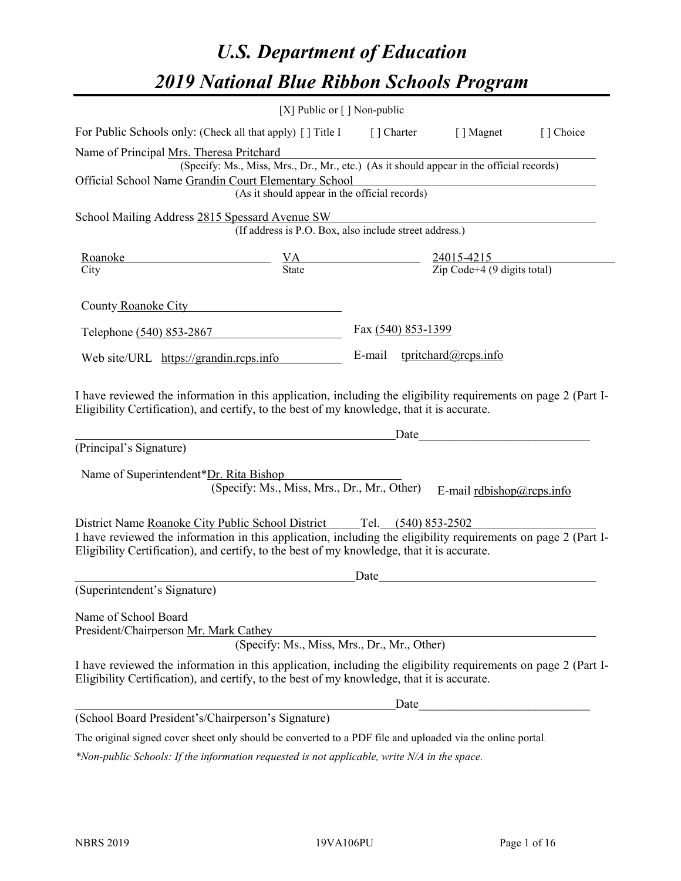# *U.S. Department of Education 2019 National Blue Ribbon Schools Program*

|                                                                                                                                                                                                              | [X] Public or $\lceil$ ] Non-public                                                                                                       |                    |      |                                                                                                                                                                                                                                                            |           |
|--------------------------------------------------------------------------------------------------------------------------------------------------------------------------------------------------------------|-------------------------------------------------------------------------------------------------------------------------------------------|--------------------|------|------------------------------------------------------------------------------------------------------------------------------------------------------------------------------------------------------------------------------------------------------------|-----------|
| For Public Schools only: (Check all that apply) [ ] Title I [ ] Charter [ ] Magnet                                                                                                                           |                                                                                                                                           |                    |      |                                                                                                                                                                                                                                                            | [] Choice |
| Name of Principal Mrs. Theresa Pritchard<br>Official School Name Grandin Court Elementary School                                                                                                             | (Specify: Ms., Miss, Mrs., Dr., Mr., etc.) (As it should appear in the official records)<br>(As it should appear in the official records) |                    |      |                                                                                                                                                                                                                                                            |           |
| School Mailing Address 2815 Spessard Avenue SW                                                                                                                                                               | (If address is P.O. Box, also include street address.)                                                                                    |                    |      |                                                                                                                                                                                                                                                            |           |
| $\frac{\text{Roanoke}}{\text{City}}$ $\frac{\text{VA}}{\text{State}}$ $\frac{24015-4215}{\text{Zip Code}+4 (9 digits total)}$                                                                                |                                                                                                                                           |                    |      |                                                                                                                                                                                                                                                            |           |
| County Roanoke City <b>Exercise Server County</b> Roanoke City                                                                                                                                               |                                                                                                                                           |                    |      |                                                                                                                                                                                                                                                            |           |
| Telephone (540) 853-2867                                                                                                                                                                                     |                                                                                                                                           | Fax (540) 853-1399 |      |                                                                                                                                                                                                                                                            |           |
| Web site/URL https://grandin.rcps.info                                                                                                                                                                       |                                                                                                                                           |                    |      | E-mail tpritchard@rcps.info                                                                                                                                                                                                                                |           |
| (Principal's Signature)<br>Name of Superintendent*Dr. Rita Bishop                                                                                                                                            | (Specify: Ms., Miss, Mrs., Dr., Mr., Other)                                                                                               |                    |      | Date experience and the set of the set of the set of the set of the set of the set of the set of the set of the set of the set of the set of the set of the set of the set of the set of the set of the set of the set of the<br>E-mail rdbishop@rcps.info |           |
| I have reviewed the information in this application, including the eligibility requirements on page 2 (Part I-<br>Eligibility Certification), and certify, to the best of my knowledge, that it is accurate. |                                                                                                                                           | Date               |      |                                                                                                                                                                                                                                                            |           |
| (Superintendent's Signature)                                                                                                                                                                                 |                                                                                                                                           |                    |      |                                                                                                                                                                                                                                                            |           |
| Name of School Board<br>President/Chairperson Mr. Mark Cathey                                                                                                                                                | (Specify: Ms., Miss, Mrs., Dr., Mr., Other)                                                                                               |                    |      |                                                                                                                                                                                                                                                            |           |
| I have reviewed the information in this application, including the eligibility requirements on page 2 (Part I-<br>Eligibility Certification), and certify, to the best of my knowledge, that it is accurate. |                                                                                                                                           |                    |      |                                                                                                                                                                                                                                                            |           |
|                                                                                                                                                                                                              |                                                                                                                                           |                    | Date |                                                                                                                                                                                                                                                            |           |
| (School Board President's/Chairperson's Signature)                                                                                                                                                           |                                                                                                                                           |                    |      |                                                                                                                                                                                                                                                            |           |
| The original signed cover sheet only should be converted to a PDF file and uploaded via the online portal.                                                                                                   |                                                                                                                                           |                    |      |                                                                                                                                                                                                                                                            |           |

*\*Non-public Schools: If the information requested is not applicable, write N/A in the space.*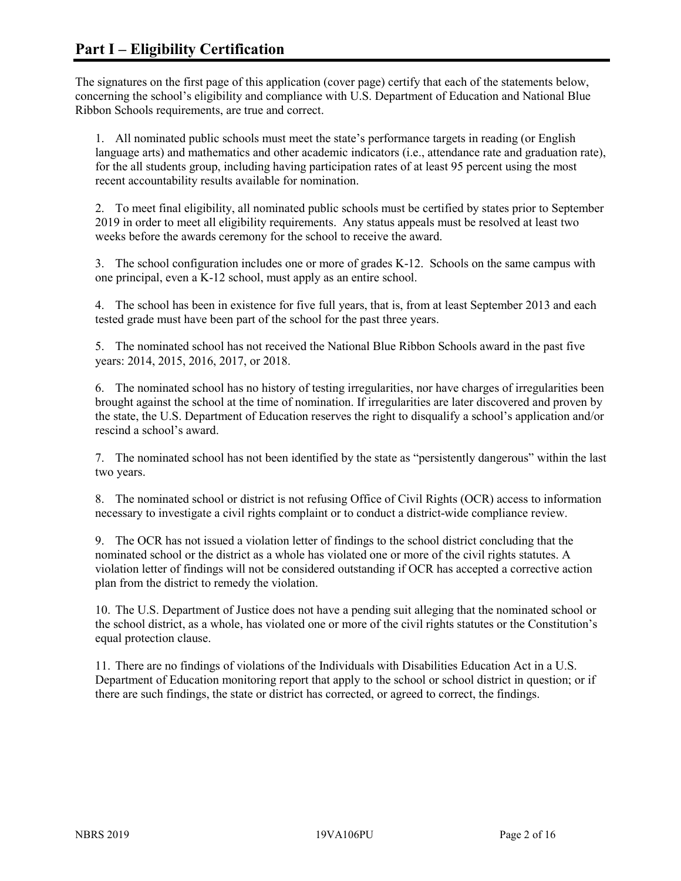The signatures on the first page of this application (cover page) certify that each of the statements below, concerning the school's eligibility and compliance with U.S. Department of Education and National Blue Ribbon Schools requirements, are true and correct.

1. All nominated public schools must meet the state's performance targets in reading (or English language arts) and mathematics and other academic indicators (i.e., attendance rate and graduation rate), for the all students group, including having participation rates of at least 95 percent using the most recent accountability results available for nomination.

2. To meet final eligibility, all nominated public schools must be certified by states prior to September 2019 in order to meet all eligibility requirements. Any status appeals must be resolved at least two weeks before the awards ceremony for the school to receive the award.

3. The school configuration includes one or more of grades K-12. Schools on the same campus with one principal, even a K-12 school, must apply as an entire school.

4. The school has been in existence for five full years, that is, from at least September 2013 and each tested grade must have been part of the school for the past three years.

5. The nominated school has not received the National Blue Ribbon Schools award in the past five years: 2014, 2015, 2016, 2017, or 2018.

6. The nominated school has no history of testing irregularities, nor have charges of irregularities been brought against the school at the time of nomination. If irregularities are later discovered and proven by the state, the U.S. Department of Education reserves the right to disqualify a school's application and/or rescind a school's award.

7. The nominated school has not been identified by the state as "persistently dangerous" within the last two years.

8. The nominated school or district is not refusing Office of Civil Rights (OCR) access to information necessary to investigate a civil rights complaint or to conduct a district-wide compliance review.

9. The OCR has not issued a violation letter of findings to the school district concluding that the nominated school or the district as a whole has violated one or more of the civil rights statutes. A violation letter of findings will not be considered outstanding if OCR has accepted a corrective action plan from the district to remedy the violation.

10. The U.S. Department of Justice does not have a pending suit alleging that the nominated school or the school district, as a whole, has violated one or more of the civil rights statutes or the Constitution's equal protection clause.

11. There are no findings of violations of the Individuals with Disabilities Education Act in a U.S. Department of Education monitoring report that apply to the school or school district in question; or if there are such findings, the state or district has corrected, or agreed to correct, the findings.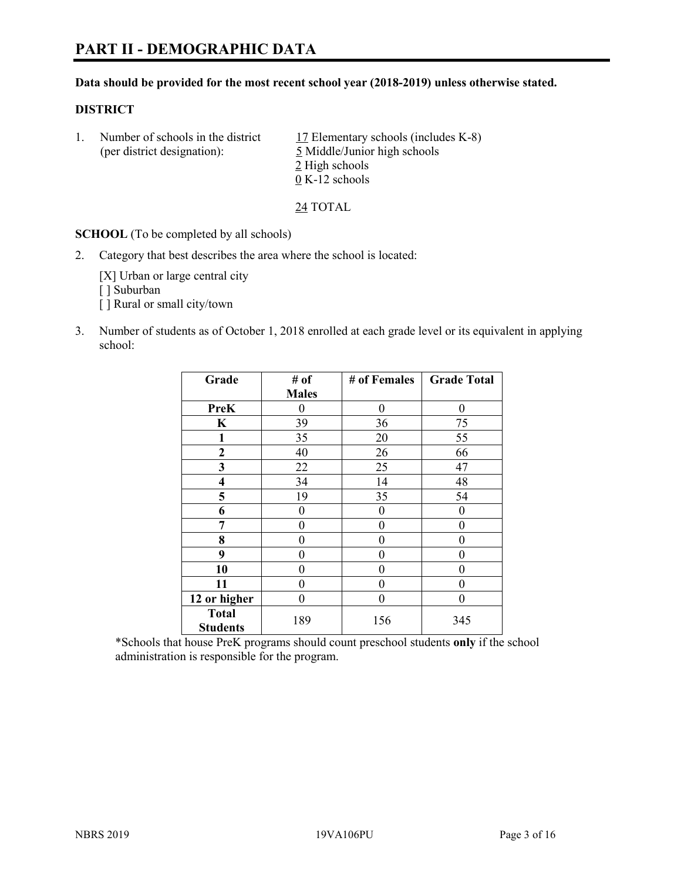#### **Data should be provided for the most recent school year (2018-2019) unless otherwise stated.**

## **DISTRICT**

1. Number of schools in the district  $17$  Elementary schools (includes K-8) (per district designation): 5 Middle/Junior high schools 2 High schools 0 K-12 schools

24 TOTAL

**SCHOOL** (To be completed by all schools)

2. Category that best describes the area where the school is located:

[X] Urban or large central city [] Suburban [] Rural or small city/town

3. Number of students as of October 1, 2018 enrolled at each grade level or its equivalent in applying school:

| Grade                           | # of         | # of Females | <b>Grade Total</b> |
|---------------------------------|--------------|--------------|--------------------|
|                                 | <b>Males</b> |              |                    |
| <b>PreK</b>                     | 0            | $\theta$     | 0                  |
| $\mathbf K$                     | 39           | 36           | 75                 |
| 1                               | 35           | 20           | 55                 |
| $\mathbf{2}$                    | 40           | 26           | 66                 |
| 3                               | 22           | 25           | 47                 |
| 4                               | 34           | 14           | 48                 |
| 5                               | 19           | 35           | 54                 |
| 6                               | 0            | $\theta$     | 0                  |
| 7                               | 0            | $\theta$     | 0                  |
| 8                               | 0            | 0            | 0                  |
| 9                               | 0            | 0            | 0                  |
| 10                              | 0            | $\theta$     | 0                  |
| 11                              | 0            | 0            | 0                  |
| 12 or higher                    | 0            | $\theta$     | 0                  |
| <b>Total</b><br><b>Students</b> | 189          | 156          | 345                |

\*Schools that house PreK programs should count preschool students **only** if the school administration is responsible for the program.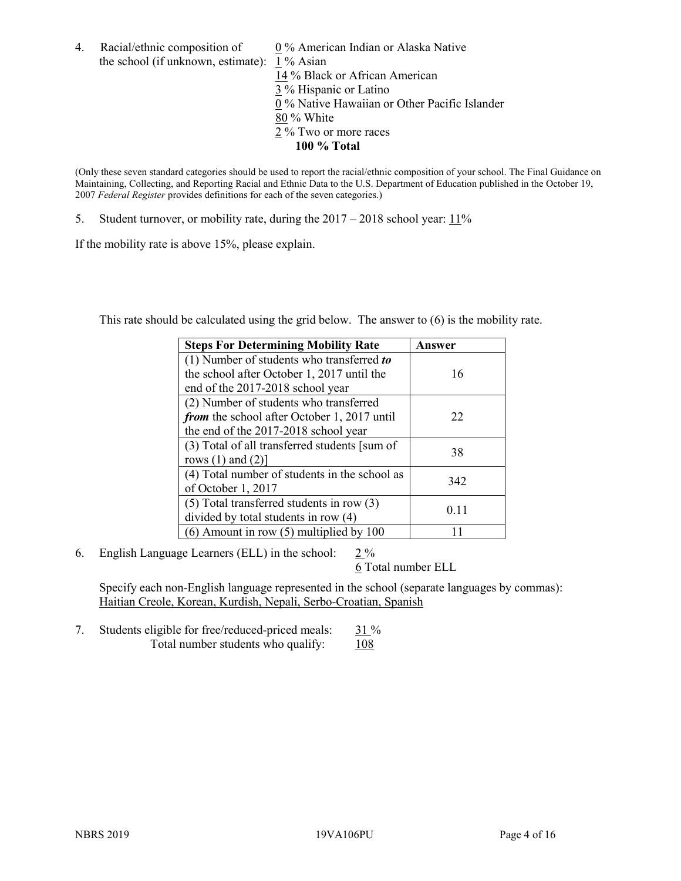4. Racial/ethnic composition of  $0\%$  American Indian or Alaska Native the school (if unknown, estimate): 1 % Asian

 % Black or African American % Hispanic or Latino % Native Hawaiian or Other Pacific Islander 80 % White % Two or more races **100 % Total**

(Only these seven standard categories should be used to report the racial/ethnic composition of your school. The Final Guidance on Maintaining, Collecting, and Reporting Racial and Ethnic Data to the U.S. Department of Education published in the October 19, 2007 *Federal Register* provides definitions for each of the seven categories.)

5. Student turnover, or mobility rate, during the 2017 – 2018 school year: 11%

If the mobility rate is above 15%, please explain.

This rate should be calculated using the grid below. The answer to (6) is the mobility rate.

| <b>Steps For Determining Mobility Rate</b>    | Answer |
|-----------------------------------------------|--------|
| (1) Number of students who transferred to     |        |
| the school after October 1, 2017 until the    | 16     |
| end of the 2017-2018 school year              |        |
| (2) Number of students who transferred        |        |
| from the school after October 1, 2017 until   | 22     |
| the end of the 2017-2018 school year          |        |
| (3) Total of all transferred students [sum of |        |
| rows $(1)$ and $(2)$ ]                        | 38     |
| (4) Total number of students in the school as |        |
| of October 1, 2017                            | 342    |
| $(5)$ Total transferred students in row $(3)$ |        |
| divided by total students in row (4)          | 0.11   |
| $(6)$ Amount in row $(5)$ multiplied by 100   |        |

6. English Language Learners (ELL) in the school:  $2\%$ 

6 Total number ELL

Specify each non-English language represented in the school (separate languages by commas): Haitian Creole, Korean, Kurdish, Nepali, Serbo-Croatian, Spanish

7. Students eligible for free/reduced-priced meals:  $31\%$ Total number students who qualify:  $108$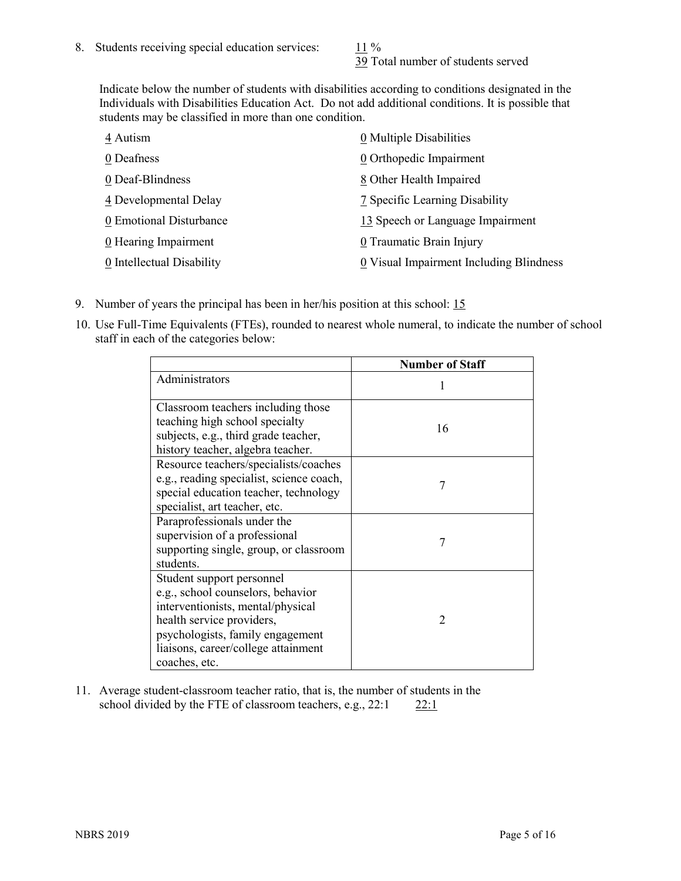39 Total number of students served

Indicate below the number of students with disabilities according to conditions designated in the Individuals with Disabilities Education Act. Do not add additional conditions. It is possible that students may be classified in more than one condition.

| 4 Autism                  | 0 Multiple Disabilities                 |
|---------------------------|-----------------------------------------|
| 0 Deafness                | 0 Orthopedic Impairment                 |
| 0 Deaf-Blindness          | 8 Other Health Impaired                 |
| 4 Developmental Delay     | 7 Specific Learning Disability          |
| 0 Emotional Disturbance   | 13 Speech or Language Impairment        |
| 0 Hearing Impairment      | 0 Traumatic Brain Injury                |
| 0 Intellectual Disability | 0 Visual Impairment Including Blindness |

- 9. Number of years the principal has been in her/his position at this school: 15
- 10. Use Full-Time Equivalents (FTEs), rounded to nearest whole numeral, to indicate the number of school staff in each of the categories below:

|                                                                                                                                                                                                                              | <b>Number of Staff</b>   |
|------------------------------------------------------------------------------------------------------------------------------------------------------------------------------------------------------------------------------|--------------------------|
| Administrators                                                                                                                                                                                                               |                          |
| Classroom teachers including those<br>teaching high school specialty<br>subjects, e.g., third grade teacher,<br>history teacher, algebra teacher.                                                                            | 16                       |
| Resource teachers/specialists/coaches<br>e.g., reading specialist, science coach,<br>special education teacher, technology<br>specialist, art teacher, etc.                                                                  | 7                        |
| Paraprofessionals under the<br>supervision of a professional<br>supporting single, group, or classroom<br>students.                                                                                                          | 7                        |
| Student support personnel<br>e.g., school counselors, behavior<br>interventionists, mental/physical<br>health service providers,<br>psychologists, family engagement<br>liaisons, career/college attainment<br>coaches, etc. | $\mathfrak{D}_{1}^{(1)}$ |

11. Average student-classroom teacher ratio, that is, the number of students in the school divided by the FTE of classroom teachers, e.g.,  $22:1$  22:1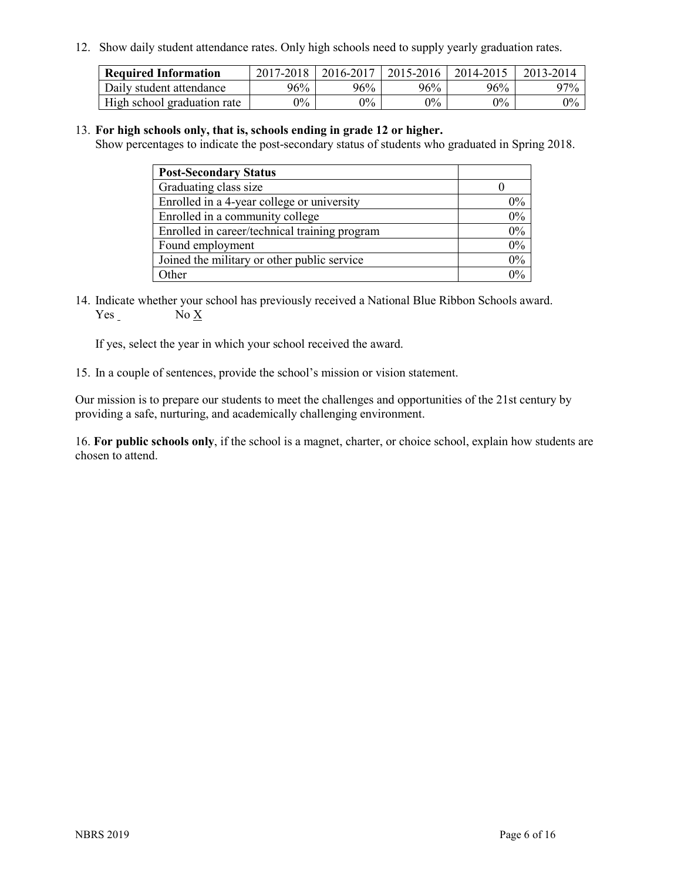12. Show daily student attendance rates. Only high schools need to supply yearly graduation rates.

| <b>Required Information</b> | 2017-2018 | 2016-2017 | 2015-2016 | 2014-2015 | 2013-2014 |
|-----------------------------|-----------|-----------|-----------|-----------|-----------|
| Daily student attendance    | 96%       | 96%       | 96%       | 96%       | $97\%$    |
| High school graduation rate | $0\%$     | $0\%$     | $0\%$     | $0\%$     | $0\%$     |

#### 13. **For high schools only, that is, schools ending in grade 12 or higher.**

Show percentages to indicate the post-secondary status of students who graduated in Spring 2018.

| <b>Post-Secondary Status</b>                  |       |
|-----------------------------------------------|-------|
| Graduating class size                         |       |
| Enrolled in a 4-year college or university    | $0\%$ |
| Enrolled in a community college               | 0%    |
| Enrolled in career/technical training program | 0%    |
| Found employment                              | 0%    |
| Joined the military or other public service   | 0%    |
| Other                                         | በ‰    |

14. Indicate whether your school has previously received a National Blue Ribbon Schools award. Yes No X

If yes, select the year in which your school received the award.

15. In a couple of sentences, provide the school's mission or vision statement.

Our mission is to prepare our students to meet the challenges and opportunities of the 21st century by providing a safe, nurturing, and academically challenging environment.

16. **For public schools only**, if the school is a magnet, charter, or choice school, explain how students are chosen to attend.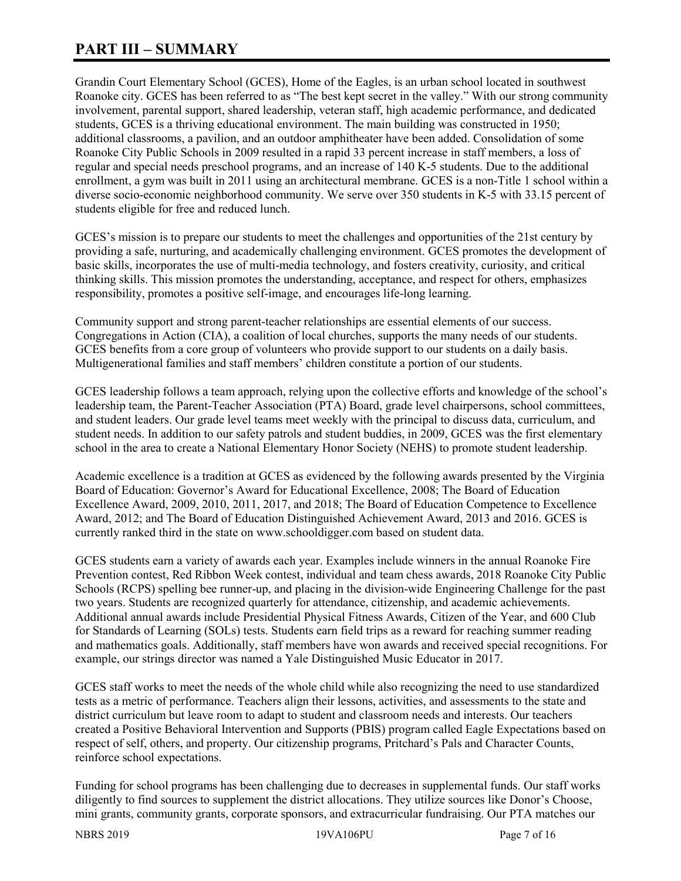# **PART III – SUMMARY**

Grandin Court Elementary School (GCES), Home of the Eagles, is an urban school located in southwest Roanoke city. GCES has been referred to as "The best kept secret in the valley." With our strong community involvement, parental support, shared leadership, veteran staff, high academic performance, and dedicated students, GCES is a thriving educational environment. The main building was constructed in 1950; additional classrooms, a pavilion, and an outdoor amphitheater have been added. Consolidation of some Roanoke City Public Schools in 2009 resulted in a rapid 33 percent increase in staff members, a loss of regular and special needs preschool programs, and an increase of 140 K-5 students. Due to the additional enrollment, a gym was built in 2011 using an architectural membrane. GCES is a non-Title 1 school within a diverse socio-economic neighborhood community. We serve over 350 students in K-5 with 33.15 percent of students eligible for free and reduced lunch.

GCES's mission is to prepare our students to meet the challenges and opportunities of the 21st century by providing a safe, nurturing, and academically challenging environment. GCES promotes the development of basic skills, incorporates the use of multi-media technology, and fosters creativity, curiosity, and critical thinking skills. This mission promotes the understanding, acceptance, and respect for others, emphasizes responsibility, promotes a positive self-image, and encourages life-long learning.

Community support and strong parent-teacher relationships are essential elements of our success. Congregations in Action (CIA), a coalition of local churches, supports the many needs of our students. GCES benefits from a core group of volunteers who provide support to our students on a daily basis. Multigenerational families and staff members' children constitute a portion of our students.

GCES leadership follows a team approach, relying upon the collective efforts and knowledge of the school's leadership team, the Parent-Teacher Association (PTA) Board, grade level chairpersons, school committees, and student leaders. Our grade level teams meet weekly with the principal to discuss data, curriculum, and student needs. In addition to our safety patrols and student buddies, in 2009, GCES was the first elementary school in the area to create a National Elementary Honor Society (NEHS) to promote student leadership.

Academic excellence is a tradition at GCES as evidenced by the following awards presented by the Virginia Board of Education: Governor's Award for Educational Excellence, 2008; The Board of Education Excellence Award, 2009, 2010, 2011, 2017, and 2018; The Board of Education Competence to Excellence Award, 2012; and The Board of Education Distinguished Achievement Award, 2013 and 2016. GCES is currently ranked third in the state on www.schooldigger.com based on student data.

GCES students earn a variety of awards each year. Examples include winners in the annual Roanoke Fire Prevention contest, Red Ribbon Week contest, individual and team chess awards, 2018 Roanoke City Public Schools (RCPS) spelling bee runner-up, and placing in the division-wide Engineering Challenge for the past two years. Students are recognized quarterly for attendance, citizenship, and academic achievements. Additional annual awards include Presidential Physical Fitness Awards, Citizen of the Year, and 600 Club for Standards of Learning (SOLs) tests. Students earn field trips as a reward for reaching summer reading and mathematics goals. Additionally, staff members have won awards and received special recognitions. For example, our strings director was named a Yale Distinguished Music Educator in 2017.

GCES staff works to meet the needs of the whole child while also recognizing the need to use standardized tests as a metric of performance. Teachers align their lessons, activities, and assessments to the state and district curriculum but leave room to adapt to student and classroom needs and interests. Our teachers created a Positive Behavioral Intervention and Supports (PBIS) program called Eagle Expectations based on respect of self, others, and property. Our citizenship programs, Pritchard's Pals and Character Counts, reinforce school expectations.

Funding for school programs has been challenging due to decreases in supplemental funds. Our staff works diligently to find sources to supplement the district allocations. They utilize sources like Donor's Choose, mini grants, community grants, corporate sponsors, and extracurricular fundraising. Our PTA matches our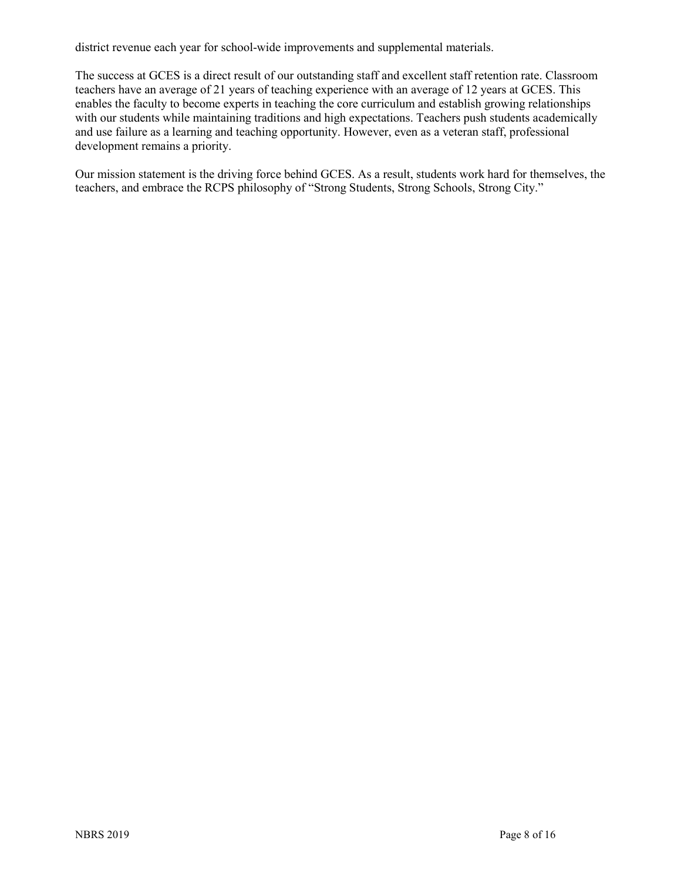district revenue each year for school-wide improvements and supplemental materials.

The success at GCES is a direct result of our outstanding staff and excellent staff retention rate. Classroom teachers have an average of 21 years of teaching experience with an average of 12 years at GCES. This enables the faculty to become experts in teaching the core curriculum and establish growing relationships with our students while maintaining traditions and high expectations. Teachers push students academically and use failure as a learning and teaching opportunity. However, even as a veteran staff, professional development remains a priority.

Our mission statement is the driving force behind GCES. As a result, students work hard for themselves, the teachers, and embrace the RCPS philosophy of "Strong Students, Strong Schools, Strong City."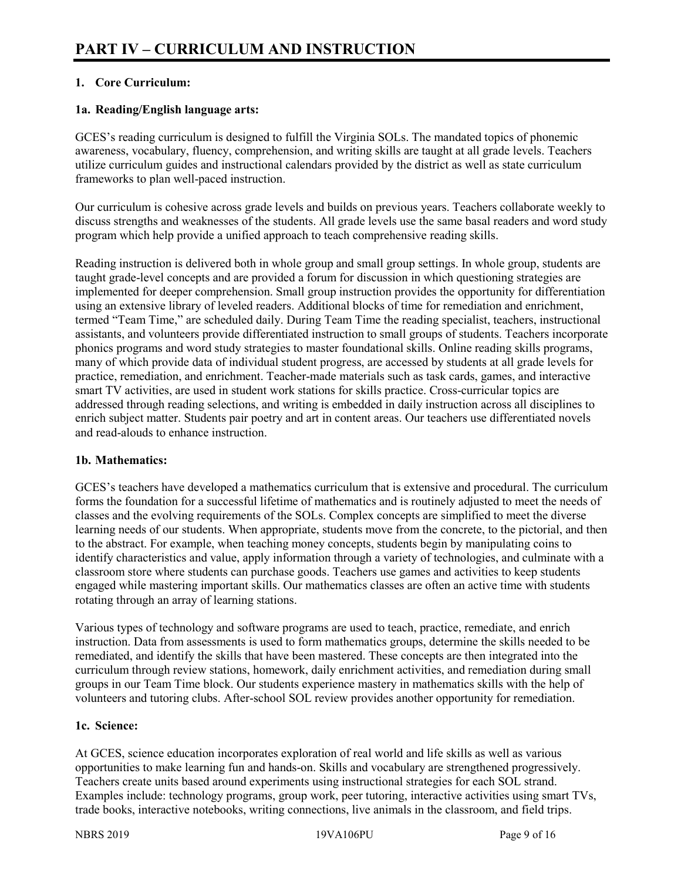# **1. Core Curriculum:**

# **1a. Reading/English language arts:**

GCES's reading curriculum is designed to fulfill the Virginia SOLs. The mandated topics of phonemic awareness, vocabulary, fluency, comprehension, and writing skills are taught at all grade levels. Teachers utilize curriculum guides and instructional calendars provided by the district as well as state curriculum frameworks to plan well-paced instruction.

Our curriculum is cohesive across grade levels and builds on previous years. Teachers collaborate weekly to discuss strengths and weaknesses of the students. All grade levels use the same basal readers and word study program which help provide a unified approach to teach comprehensive reading skills.

Reading instruction is delivered both in whole group and small group settings. In whole group, students are taught grade-level concepts and are provided a forum for discussion in which questioning strategies are implemented for deeper comprehension. Small group instruction provides the opportunity for differentiation using an extensive library of leveled readers. Additional blocks of time for remediation and enrichment, termed "Team Time," are scheduled daily. During Team Time the reading specialist, teachers, instructional assistants, and volunteers provide differentiated instruction to small groups of students. Teachers incorporate phonics programs and word study strategies to master foundational skills. Online reading skills programs, many of which provide data of individual student progress, are accessed by students at all grade levels for practice, remediation, and enrichment. Teacher-made materials such as task cards, games, and interactive smart TV activities, are used in student work stations for skills practice. Cross-curricular topics are addressed through reading selections, and writing is embedded in daily instruction across all disciplines to enrich subject matter. Students pair poetry and art in content areas. Our teachers use differentiated novels and read-alouds to enhance instruction.

#### **1b. Mathematics:**

GCES's teachers have developed a mathematics curriculum that is extensive and procedural. The curriculum forms the foundation for a successful lifetime of mathematics and is routinely adjusted to meet the needs of classes and the evolving requirements of the SOLs. Complex concepts are simplified to meet the diverse learning needs of our students. When appropriate, students move from the concrete, to the pictorial, and then to the abstract. For example, when teaching money concepts, students begin by manipulating coins to identify characteristics and value, apply information through a variety of technologies, and culminate with a classroom store where students can purchase goods. Teachers use games and activities to keep students engaged while mastering important skills. Our mathematics classes are often an active time with students rotating through an array of learning stations.

Various types of technology and software programs are used to teach, practice, remediate, and enrich instruction. Data from assessments is used to form mathematics groups, determine the skills needed to be remediated, and identify the skills that have been mastered. These concepts are then integrated into the curriculum through review stations, homework, daily enrichment activities, and remediation during small groups in our Team Time block. Our students experience mastery in mathematics skills with the help of volunteers and tutoring clubs. After-school SOL review provides another opportunity for remediation.

#### **1c. Science:**

At GCES, science education incorporates exploration of real world and life skills as well as various opportunities to make learning fun and hands-on. Skills and vocabulary are strengthened progressively. Teachers create units based around experiments using instructional strategies for each SOL strand. Examples include: technology programs, group work, peer tutoring, interactive activities using smart TVs, trade books, interactive notebooks, writing connections, live animals in the classroom, and field trips.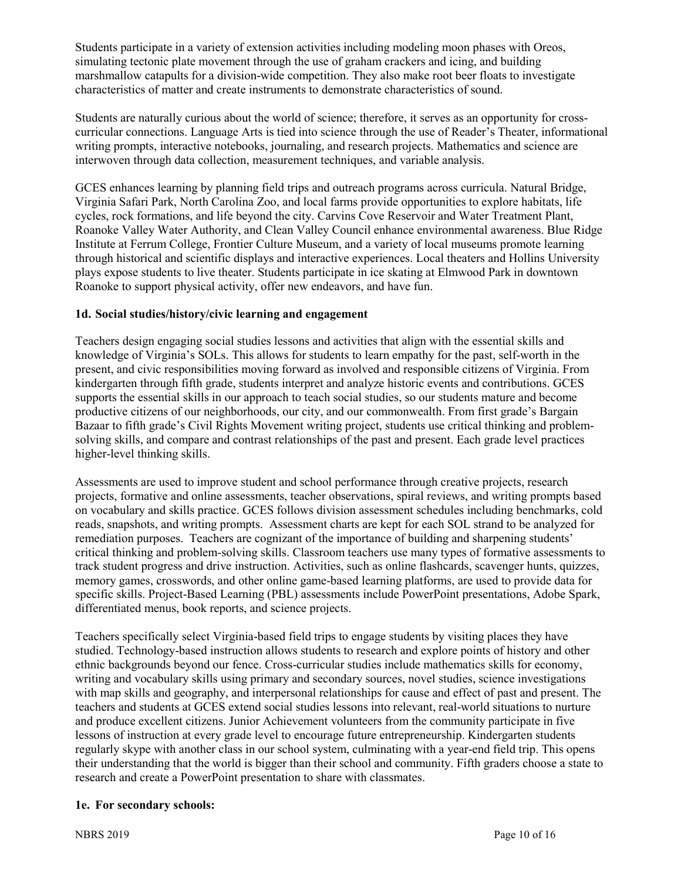Students participate in a variety of extension activities including modeling moon phases with Oreos, simulating tectonic plate movement through the use of graham crackers and icing, and building marshmallow catapults for a division-wide competition. They also make root beer floats to investigate characteristics of matter and create instruments to demonstrate characteristics of sound.

Students are naturally curious about the world of science; therefore, it serves as an opportunity for crosscurricular connections. Language Arts is tied into science through the use of Reader's Theater, informational writing prompts, interactive notebooks, journaling, and research projects. Mathematics and science are interwoven through data collection, measurement techniques, and variable analysis.

GCES enhances learning by planning field trips and outreach programs across curricula. Natural Bridge, Virginia Safari Park, North Carolina Zoo, and local farms provide opportunities to explore habitats, life cycles, rock formations, and life beyond the city. Carvins Cove Reservoir and Water Treatment Plant, Roanoke Valley Water Authority, and Clean Valley Council enhance environmental awareness. Blue Ridge Institute at Ferrum College, Frontier Culture Museum, and a variety of local museums promote learning through historical and scientific displays and interactive experiences. Local theaters and Hollins University plays expose students to live theater. Students participate in ice skating at Elmwood Park in downtown Roanoke to support physical activity, offer new endeavors, and have fun.

## **1d. Social studies/history/civic learning and engagement**

Teachers design engaging social studies lessons and activities that align with the essential skills and knowledge of Virginia's SOLs. This allows for students to learn empathy for the past, self-worth in the present, and civic responsibilities moving forward as involved and responsible citizens of Virginia. From kindergarten through fifth grade, students interpret and analyze historic events and contributions. GCES supports the essential skills in our approach to teach social studies, so our students mature and become productive citizens of our neighborhoods, our city, and our commonwealth. From first grade's Bargain Bazaar to fifth grade's Civil Rights Movement writing project, students use critical thinking and problemsolving skills, and compare and contrast relationships of the past and present. Each grade level practices higher-level thinking skills.

Assessments are used to improve student and school performance through creative projects, research projects, formative and online assessments, teacher observations, spiral reviews, and writing prompts based on vocabulary and skills practice. GCES follows division assessment schedules including benchmarks, cold reads, snapshots, and writing prompts. Assessment charts are kept for each SOL strand to be analyzed for remediation purposes. Teachers are cognizant of the importance of building and sharpening students' critical thinking and problem-solving skills. Classroom teachers use many types of formative assessments to track student progress and drive instruction. Activities, such as online flashcards, scavenger hunts, quizzes, memory games, crosswords, and other online game-based learning platforms, are used to provide data for specific skills. Project-Based Learning (PBL) assessments include PowerPoint presentations, Adobe Spark, differentiated menus, book reports, and science projects.

Teachers specifically select Virginia-based field trips to engage students by visiting places they have studied. Technology-based instruction allows students to research and explore points of history and other ethnic backgrounds beyond our fence. Cross-curricular studies include mathematics skills for economy, writing and vocabulary skills using primary and secondary sources, novel studies, science investigations with map skills and geography, and interpersonal relationships for cause and effect of past and present. The teachers and students at GCES extend social studies lessons into relevant, real-world situations to nurture and produce excellent citizens. Junior Achievement volunteers from the community participate in five lessons of instruction at every grade level to encourage future entrepreneurship. Kindergarten students regularly skype with another class in our school system, culminating with a year-end field trip. This opens their understanding that the world is bigger than their school and community. Fifth graders choose a state to research and create a PowerPoint presentation to share with classmates.

#### **1e. For secondary schools:**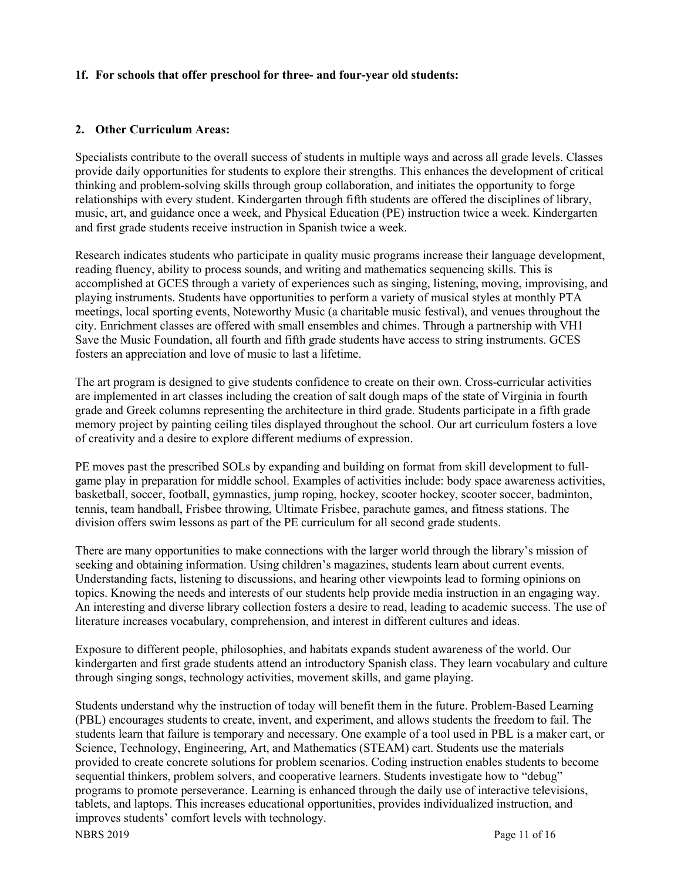#### **1f. For schools that offer preschool for three- and four-year old students:**

#### **2. Other Curriculum Areas:**

Specialists contribute to the overall success of students in multiple ways and across all grade levels. Classes provide daily opportunities for students to explore their strengths. This enhances the development of critical thinking and problem-solving skills through group collaboration, and initiates the opportunity to forge relationships with every student. Kindergarten through fifth students are offered the disciplines of library, music, art, and guidance once a week, and Physical Education (PE) instruction twice a week. Kindergarten and first grade students receive instruction in Spanish twice a week.

Research indicates students who participate in quality music programs increase their language development, reading fluency, ability to process sounds, and writing and mathematics sequencing skills. This is accomplished at GCES through a variety of experiences such as singing, listening, moving, improvising, and playing instruments. Students have opportunities to perform a variety of musical styles at monthly PTA meetings, local sporting events, Noteworthy Music (a charitable music festival), and venues throughout the city. Enrichment classes are offered with small ensembles and chimes. Through a partnership with VH1 Save the Music Foundation, all fourth and fifth grade students have access to string instruments. GCES fosters an appreciation and love of music to last a lifetime.

The art program is designed to give students confidence to create on their own. Cross-curricular activities are implemented in art classes including the creation of salt dough maps of the state of Virginia in fourth grade and Greek columns representing the architecture in third grade. Students participate in a fifth grade memory project by painting ceiling tiles displayed throughout the school. Our art curriculum fosters a love of creativity and a desire to explore different mediums of expression.

PE moves past the prescribed SOLs by expanding and building on format from skill development to fullgame play in preparation for middle school. Examples of activities include: body space awareness activities, basketball, soccer, football, gymnastics, jump roping, hockey, scooter hockey, scooter soccer, badminton, tennis, team handball, Frisbee throwing, Ultimate Frisbee, parachute games, and fitness stations. The division offers swim lessons as part of the PE curriculum for all second grade students.

There are many opportunities to make connections with the larger world through the library's mission of seeking and obtaining information. Using children's magazines, students learn about current events. Understanding facts, listening to discussions, and hearing other viewpoints lead to forming opinions on topics. Knowing the needs and interests of our students help provide media instruction in an engaging way. An interesting and diverse library collection fosters a desire to read, leading to academic success. The use of literature increases vocabulary, comprehension, and interest in different cultures and ideas.

Exposure to different people, philosophies, and habitats expands student awareness of the world. Our kindergarten and first grade students attend an introductory Spanish class. They learn vocabulary and culture through singing songs, technology activities, movement skills, and game playing.

NBRS 2019 Page 11 of 16 Students understand why the instruction of today will benefit them in the future. Problem-Based Learning (PBL) encourages students to create, invent, and experiment, and allows students the freedom to fail. The students learn that failure is temporary and necessary. One example of a tool used in PBL is a maker cart, or Science, Technology, Engineering, Art, and Mathematics (STEAM) cart. Students use the materials provided to create concrete solutions for problem scenarios. Coding instruction enables students to become sequential thinkers, problem solvers, and cooperative learners. Students investigate how to "debug" programs to promote perseverance. Learning is enhanced through the daily use of interactive televisions, tablets, and laptops. This increases educational opportunities, provides individualized instruction, and improves students' comfort levels with technology.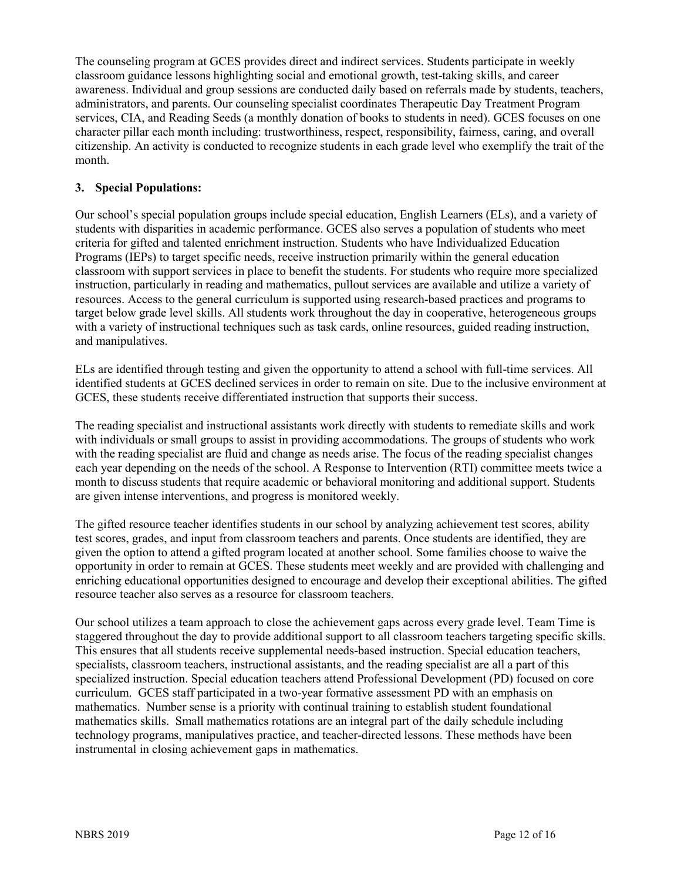The counseling program at GCES provides direct and indirect services. Students participate in weekly classroom guidance lessons highlighting social and emotional growth, test-taking skills, and career awareness. Individual and group sessions are conducted daily based on referrals made by students, teachers, administrators, and parents. Our counseling specialist coordinates Therapeutic Day Treatment Program services, CIA, and Reading Seeds (a monthly donation of books to students in need). GCES focuses on one character pillar each month including: trustworthiness, respect, responsibility, fairness, caring, and overall citizenship. An activity is conducted to recognize students in each grade level who exemplify the trait of the month.

## **3. Special Populations:**

Our school's special population groups include special education, English Learners (ELs), and a variety of students with disparities in academic performance. GCES also serves a population of students who meet criteria for gifted and talented enrichment instruction. Students who have Individualized Education Programs (IEPs) to target specific needs, receive instruction primarily within the general education classroom with support services in place to benefit the students. For students who require more specialized instruction, particularly in reading and mathematics, pullout services are available and utilize a variety of resources. Access to the general curriculum is supported using research-based practices and programs to target below grade level skills. All students work throughout the day in cooperative, heterogeneous groups with a variety of instructional techniques such as task cards, online resources, guided reading instruction, and manipulatives.

ELs are identified through testing and given the opportunity to attend a school with full-time services. All identified students at GCES declined services in order to remain on site. Due to the inclusive environment at GCES, these students receive differentiated instruction that supports their success.

The reading specialist and instructional assistants work directly with students to remediate skills and work with individuals or small groups to assist in providing accommodations. The groups of students who work with the reading specialist are fluid and change as needs arise. The focus of the reading specialist changes each year depending on the needs of the school. A Response to Intervention (RTI) committee meets twice a month to discuss students that require academic or behavioral monitoring and additional support. Students are given intense interventions, and progress is monitored weekly.

The gifted resource teacher identifies students in our school by analyzing achievement test scores, ability test scores, grades, and input from classroom teachers and parents. Once students are identified, they are given the option to attend a gifted program located at another school. Some families choose to waive the opportunity in order to remain at GCES. These students meet weekly and are provided with challenging and enriching educational opportunities designed to encourage and develop their exceptional abilities. The gifted resource teacher also serves as a resource for classroom teachers.

Our school utilizes a team approach to close the achievement gaps across every grade level. Team Time is staggered throughout the day to provide additional support to all classroom teachers targeting specific skills. This ensures that all students receive supplemental needs-based instruction. Special education teachers, specialists, classroom teachers, instructional assistants, and the reading specialist are all a part of this specialized instruction. Special education teachers attend Professional Development (PD) focused on core curriculum. GCES staff participated in a two-year formative assessment PD with an emphasis on mathematics. Number sense is a priority with continual training to establish student foundational mathematics skills. Small mathematics rotations are an integral part of the daily schedule including technology programs, manipulatives practice, and teacher-directed lessons. These methods have been instrumental in closing achievement gaps in mathematics.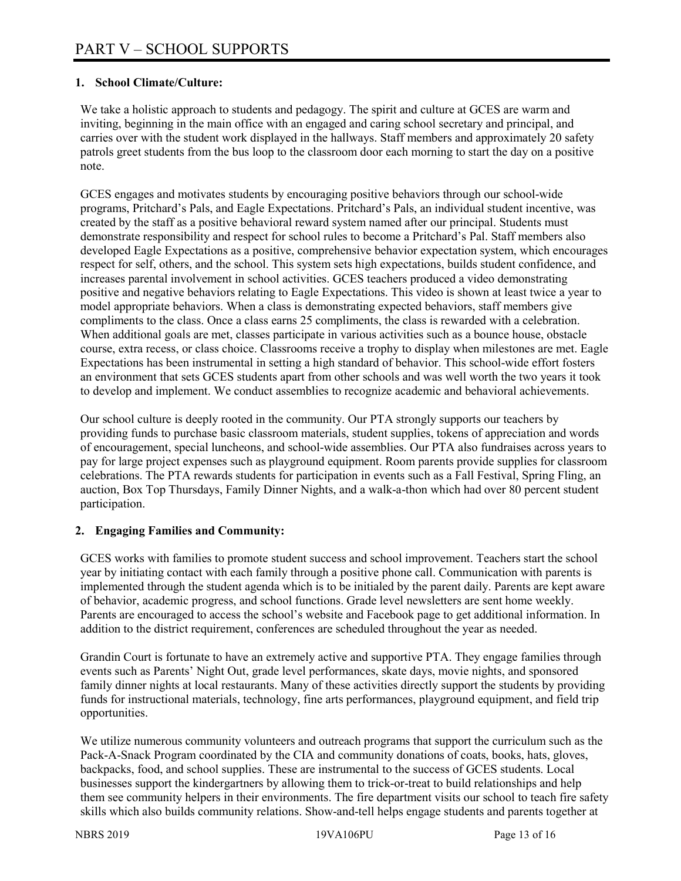# **1. School Climate/Culture:**

We take a holistic approach to students and pedagogy. The spirit and culture at GCES are warm and inviting, beginning in the main office with an engaged and caring school secretary and principal, and carries over with the student work displayed in the hallways. Staff members and approximately 20 safety patrols greet students from the bus loop to the classroom door each morning to start the day on a positive note.

GCES engages and motivates students by encouraging positive behaviors through our school-wide programs, Pritchard's Pals, and Eagle Expectations. Pritchard's Pals, an individual student incentive, was created by the staff as a positive behavioral reward system named after our principal. Students must demonstrate responsibility and respect for school rules to become a Pritchard's Pal. Staff members also developed Eagle Expectations as a positive, comprehensive behavior expectation system, which encourages respect for self, others, and the school. This system sets high expectations, builds student confidence, and increases parental involvement in school activities. GCES teachers produced a video demonstrating positive and negative behaviors relating to Eagle Expectations. This video is shown at least twice a year to model appropriate behaviors. When a class is demonstrating expected behaviors, staff members give compliments to the class. Once a class earns 25 compliments, the class is rewarded with a celebration. When additional goals are met, classes participate in various activities such as a bounce house, obstacle course, extra recess, or class choice. Classrooms receive a trophy to display when milestones are met. Eagle Expectations has been instrumental in setting a high standard of behavior. This school-wide effort fosters an environment that sets GCES students apart from other schools and was well worth the two years it took to develop and implement. We conduct assemblies to recognize academic and behavioral achievements.

Our school culture is deeply rooted in the community. Our PTA strongly supports our teachers by providing funds to purchase basic classroom materials, student supplies, tokens of appreciation and words of encouragement, special luncheons, and school-wide assemblies. Our PTA also fundraises across years to pay for large project expenses such as playground equipment. Room parents provide supplies for classroom celebrations. The PTA rewards students for participation in events such as a Fall Festival, Spring Fling, an auction, Box Top Thursdays, Family Dinner Nights, and a walk-a-thon which had over 80 percent student participation.

#### **2. Engaging Families and Community:**

GCES works with families to promote student success and school improvement. Teachers start the school year by initiating contact with each family through a positive phone call. Communication with parents is implemented through the student agenda which is to be initialed by the parent daily. Parents are kept aware of behavior, academic progress, and school functions. Grade level newsletters are sent home weekly. Parents are encouraged to access the school's website and Facebook page to get additional information. In addition to the district requirement, conferences are scheduled throughout the year as needed.

Grandin Court is fortunate to have an extremely active and supportive PTA. They engage families through events such as Parents' Night Out, grade level performances, skate days, movie nights, and sponsored family dinner nights at local restaurants. Many of these activities directly support the students by providing funds for instructional materials, technology, fine arts performances, playground equipment, and field trip opportunities.

We utilize numerous community volunteers and outreach programs that support the curriculum such as the Pack-A-Snack Program coordinated by the CIA and community donations of coats, books, hats, gloves, backpacks, food, and school supplies. These are instrumental to the success of GCES students. Local businesses support the kindergartners by allowing them to trick-or-treat to build relationships and help them see community helpers in their environments. The fire department visits our school to teach fire safety skills which also builds community relations. Show-and-tell helps engage students and parents together at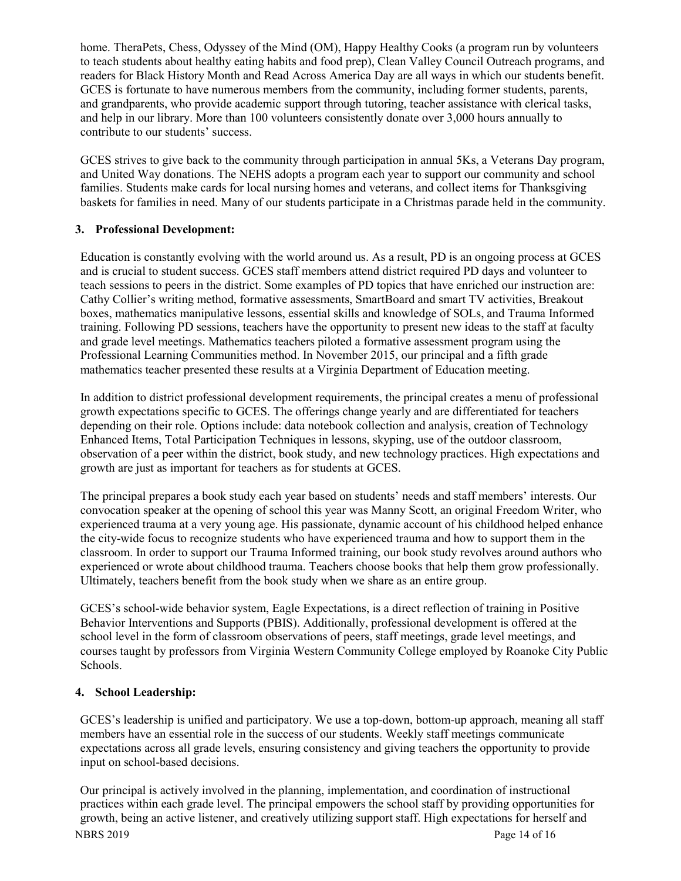home. TheraPets, Chess, Odyssey of the Mind (OM), Happy Healthy Cooks (a program run by volunteers to teach students about healthy eating habits and food prep), Clean Valley Council Outreach programs, and readers for Black History Month and Read Across America Day are all ways in which our students benefit. GCES is fortunate to have numerous members from the community, including former students, parents, and grandparents, who provide academic support through tutoring, teacher assistance with clerical tasks, and help in our library. More than 100 volunteers consistently donate over 3,000 hours annually to contribute to our students' success.

GCES strives to give back to the community through participation in annual 5Ks, a Veterans Day program, and United Way donations. The NEHS adopts a program each year to support our community and school families. Students make cards for local nursing homes and veterans, and collect items for Thanksgiving baskets for families in need. Many of our students participate in a Christmas parade held in the community.

# **3. Professional Development:**

Education is constantly evolving with the world around us. As a result, PD is an ongoing process at GCES and is crucial to student success. GCES staff members attend district required PD days and volunteer to teach sessions to peers in the district. Some examples of PD topics that have enriched our instruction are: Cathy Collier's writing method, formative assessments, SmartBoard and smart TV activities, Breakout boxes, mathematics manipulative lessons, essential skills and knowledge of SOLs, and Trauma Informed training. Following PD sessions, teachers have the opportunity to present new ideas to the staff at faculty and grade level meetings. Mathematics teachers piloted a formative assessment program using the Professional Learning Communities method. In November 2015, our principal and a fifth grade mathematics teacher presented these results at a Virginia Department of Education meeting.

In addition to district professional development requirements, the principal creates a menu of professional growth expectations specific to GCES. The offerings change yearly and are differentiated for teachers depending on their role. Options include: data notebook collection and analysis, creation of Technology Enhanced Items, Total Participation Techniques in lessons, skyping, use of the outdoor classroom, observation of a peer within the district, book study, and new technology practices. High expectations and growth are just as important for teachers as for students at GCES.

The principal prepares a book study each year based on students' needs and staff members' interests. Our convocation speaker at the opening of school this year was Manny Scott, an original Freedom Writer, who experienced trauma at a very young age. His passionate, dynamic account of his childhood helped enhance the city-wide focus to recognize students who have experienced trauma and how to support them in the classroom. In order to support our Trauma Informed training, our book study revolves around authors who experienced or wrote about childhood trauma. Teachers choose books that help them grow professionally. Ultimately, teachers benefit from the book study when we share as an entire group.

GCES's school-wide behavior system, Eagle Expectations, is a direct reflection of training in Positive Behavior Interventions and Supports (PBIS). Additionally, professional development is offered at the school level in the form of classroom observations of peers, staff meetings, grade level meetings, and courses taught by professors from Virginia Western Community College employed by Roanoke City Public Schools.

# **4. School Leadership:**

GCES's leadership is unified and participatory. We use a top-down, bottom-up approach, meaning all staff members have an essential role in the success of our students. Weekly staff meetings communicate expectations across all grade levels, ensuring consistency and giving teachers the opportunity to provide input on school-based decisions.

NBRS 2019 Page 14 of 16 Our principal is actively involved in the planning, implementation, and coordination of instructional practices within each grade level. The principal empowers the school staff by providing opportunities for growth, being an active listener, and creatively utilizing support staff. High expectations for herself and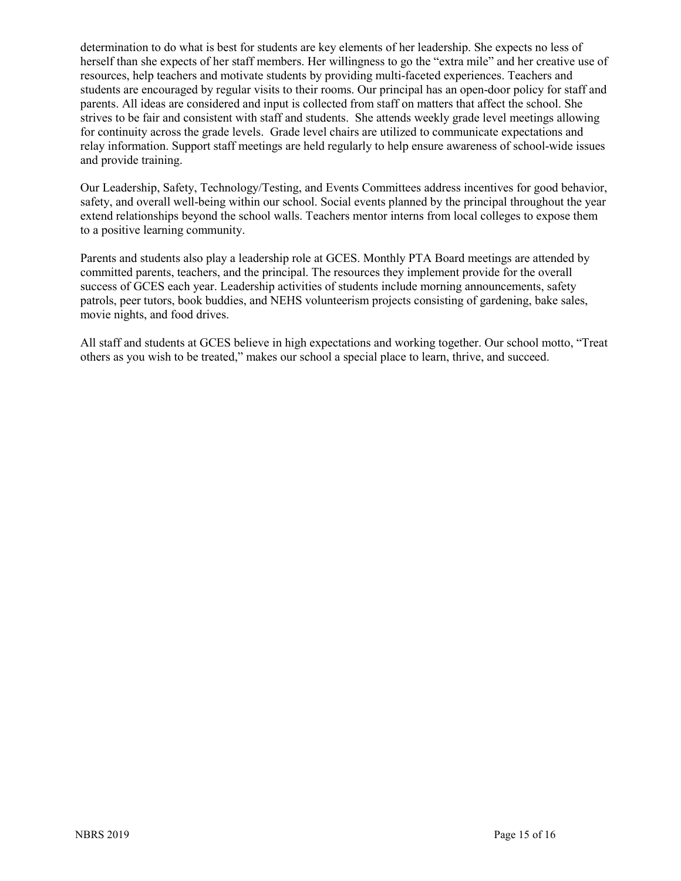determination to do what is best for students are key elements of her leadership. She expects no less of herself than she expects of her staff members. Her willingness to go the "extra mile" and her creative use of resources, help teachers and motivate students by providing multi-faceted experiences. Teachers and students are encouraged by regular visits to their rooms. Our principal has an open-door policy for staff and parents. All ideas are considered and input is collected from staff on matters that affect the school. She strives to be fair and consistent with staff and students. She attends weekly grade level meetings allowing for continuity across the grade levels. Grade level chairs are utilized to communicate expectations and relay information. Support staff meetings are held regularly to help ensure awareness of school-wide issues and provide training.

Our Leadership, Safety, Technology/Testing, and Events Committees address incentives for good behavior, safety, and overall well-being within our school. Social events planned by the principal throughout the year extend relationships beyond the school walls. Teachers mentor interns from local colleges to expose them to a positive learning community.

Parents and students also play a leadership role at GCES. Monthly PTA Board meetings are attended by committed parents, teachers, and the principal. The resources they implement provide for the overall success of GCES each year. Leadership activities of students include morning announcements, safety patrols, peer tutors, book buddies, and NEHS volunteerism projects consisting of gardening, bake sales, movie nights, and food drives.

All staff and students at GCES believe in high expectations and working together. Our school motto, "Treat others as you wish to be treated," makes our school a special place to learn, thrive, and succeed.